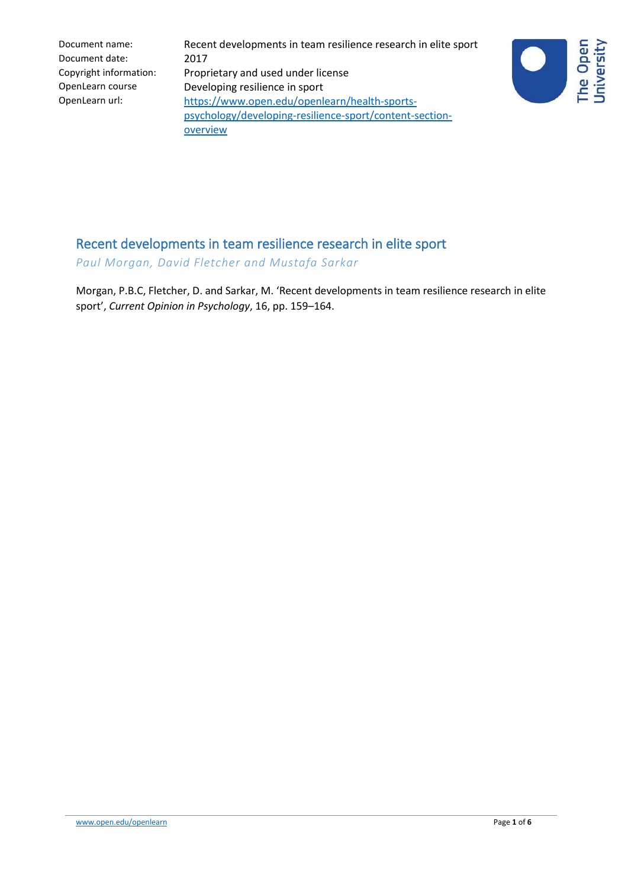Document name: Recent developments in team resilience research in elite sport Copyright information: Proprietary and used under license OpenLearn course Developing resilience in sport OpenLearn url: [https://www.open.edu/openlearn/health-sports](https://www.open.edu/openlearn/health-sports-psychology/developing-resilience-sport/content-section-overview)[psychology/developing-resilience-sport/content-section](https://www.open.edu/openlearn/health-sports-psychology/developing-resilience-sport/content-section-overview)**[overview](https://www.open.edu/openlearn/health-sports-psychology/developing-resilience-sport/content-section-overview)** 



# Recent developments in team resilience research in elite sport

*Paul Morgan, David Fletcher and Mustafa Sarkar*

Morgan, P.B.C, Fletcher, D. and Sarkar, M. 'Recent developments in team resilience research in elite sport', *Current Opinion in Psychology*, 16, pp. 159–164.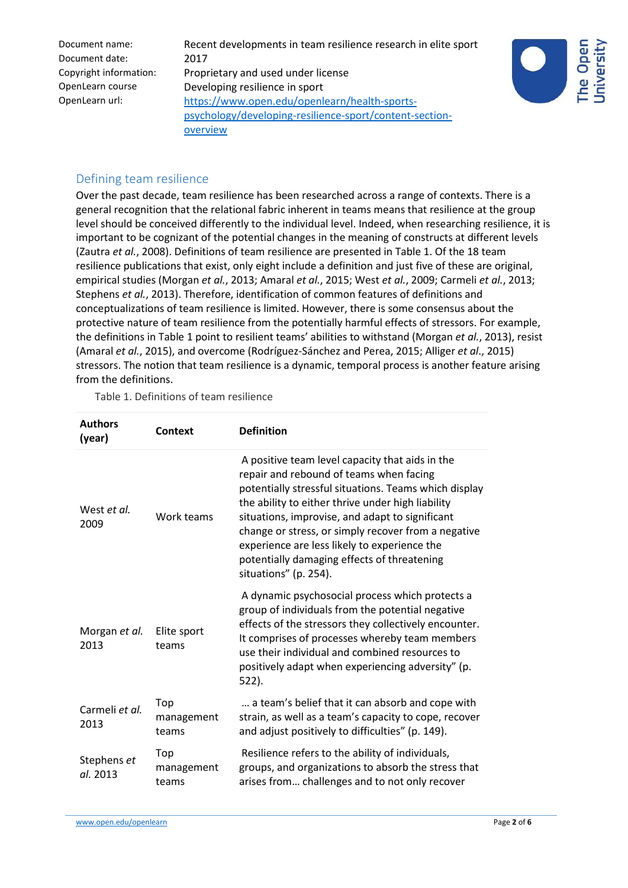Document name: Recent developments in team resilience research in elite sport Copyright information: Proprietary and used under license OpenLearn course Developing resilience in sport OpenLearn url: [https://www.open.edu/openlearn/health-sports](https://www.open.edu/openlearn/health-sports-psychology/developing-resilience-sport/content-section-overview)[psychology/developing-resilience-sport/content-section](https://www.open.edu/openlearn/health-sports-psychology/developing-resilience-sport/content-section-overview)**[overview](https://www.open.edu/openlearn/health-sports-psychology/developing-resilience-sport/content-section-overview)** 



## Defining team resilience

Over the past decade, team resilience has been researched across a range of contexts. There is a general recognition that the relational fabric inherent in teams means that resilience at the group level should be conceived differently to the individual level. Indeed, when researching resilience, it is important to be cognizant of the potential changes in the meaning of constructs at different levels (Zautra *et al.*, 2008). Definitions of team resilience are presented in Table 1. Of the 18 team resilience publications that exist, only eight include a definition and just five of these are original, empirical studies (Morgan *et al.*, 2013; Amaral *et al.*, 2015; West *et al.*, 2009; Carmeli *et al.*, 2013; Stephens *et al.*, 2013). Therefore, identification of common features of definitions and conceptualizations of team resilience is limited. However, there is some consensus about the protective nature of team resilience from the potentially harmful effects of stressors. For example, the definitions in Table 1 point to resilient teams' abilities to withstand (Morgan *et al.*, 2013), resist (Amaral *et al.*, 2015), and overcome (Rodríguez-Sánchez and Perea, 2015; Alliger *et al*., 2015) stressors. The notion that team resilience is a dynamic, temporal process is another feature arising from the definitions.

Table 1. Definitions of team resilience

| <b>Authors</b><br>(year) | <b>Context</b>             | <b>Definition</b>                                                                                                                                                                                                                                                                                                                                                                                                                          |
|--------------------------|----------------------------|--------------------------------------------------------------------------------------------------------------------------------------------------------------------------------------------------------------------------------------------------------------------------------------------------------------------------------------------------------------------------------------------------------------------------------------------|
| West et al.<br>2009      | Work teams                 | A positive team level capacity that aids in the<br>repair and rebound of teams when facing<br>potentially stressful situations. Teams which display<br>the ability to either thrive under high liability<br>situations, improvise, and adapt to significant<br>change or stress, or simply recover from a negative<br>experience are less likely to experience the<br>potentially damaging effects of threatening<br>situations" (p. 254). |
| Morgan et al.<br>2013    | Elite sport<br>teams       | A dynamic psychosocial process which protects a<br>group of individuals from the potential negative<br>effects of the stressors they collectively encounter.<br>It comprises of processes whereby team members<br>use their individual and combined resources to<br>positively adapt when experiencing adversity" (p.<br>522).                                                                                                             |
| Carmeli et al.<br>2013   | Top<br>management<br>teams | a team's belief that it can absorb and cope with<br>strain, as well as a team's capacity to cope, recover<br>and adjust positively to difficulties" (p. 149).                                                                                                                                                                                                                                                                              |
| Stephens et<br>al. 2013  | Top<br>management<br>teams | Resilience refers to the ability of individuals,<br>groups, and organizations to absorb the stress that<br>arises from challenges and to not only recover                                                                                                                                                                                                                                                                                  |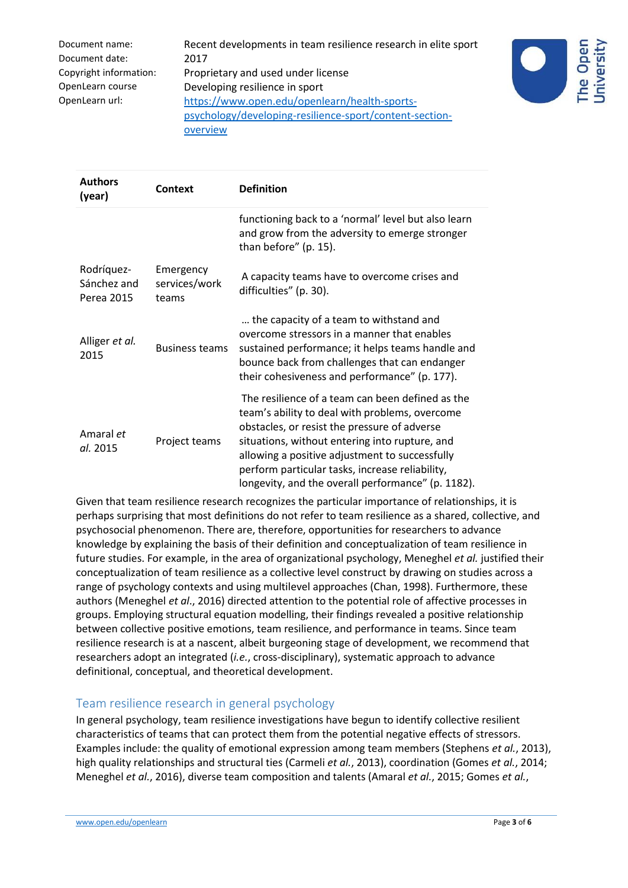| Document name:         | Recent developments in team resilience research in elite sport |  |
|------------------------|----------------------------------------------------------------|--|
| Document date:         | 2017                                                           |  |
| Copyright information: | Proprietary and used under license                             |  |
| OpenLearn course       | Developing resilience in sport                                 |  |
| OpenLearn url:         | https://www.open.edu/openlearn/health-sports-                  |  |
|                        | psychology/developing-resilience-sport/content-section-        |  |

[overview](https://www.open.edu/openlearn/health-sports-psychology/developing-resilience-sport/content-section-overview)



| <b>Authors</b><br>(year)                | Context                             | <b>Definition</b>                                                                                                                                                                                                                                                                                                                                               |
|-----------------------------------------|-------------------------------------|-----------------------------------------------------------------------------------------------------------------------------------------------------------------------------------------------------------------------------------------------------------------------------------------------------------------------------------------------------------------|
|                                         |                                     | functioning back to a 'normal' level but also learn<br>and grow from the adversity to emerge stronger<br>than before" (p. 15).                                                                                                                                                                                                                                  |
| Rodríguez-<br>Sánchez and<br>Perea 2015 | Emergency<br>services/work<br>teams | A capacity teams have to overcome crises and<br>difficulties" (p. 30).                                                                                                                                                                                                                                                                                          |
| Alliger et al.<br>2015                  | <b>Business teams</b>               | the capacity of a team to withstand and<br>overcome stressors in a manner that enables<br>sustained performance; it helps teams handle and<br>bounce back from challenges that can endanger<br>their cohesiveness and performance" (p. 177).                                                                                                                    |
| Amaral et<br>al. 2015                   | Project teams                       | The resilience of a team can been defined as the<br>team's ability to deal with problems, overcome<br>obstacles, or resist the pressure of adverse<br>situations, without entering into rupture, and<br>allowing a positive adjustment to successfully<br>perform particular tasks, increase reliability,<br>longevity, and the overall performance" (p. 1182). |

Given that team resilience research recognizes the particular importance of relationships, it is perhaps surprising that most definitions do not refer to team resilience as a shared, collective, and psychosocial phenomenon. There are, therefore, opportunities for researchers to advance knowledge by explaining the basis of their definition and conceptualization of team resilience in future studies. For example, in the area of organizational psychology, Meneghel *et al.* justified their conceptualization of team resilience as a collective level construct by drawing on studies across a range of psychology contexts and using multilevel approaches (Chan, 1998). Furthermore, these authors (Meneghel *et al*., 2016) directed attention to the potential role of affective processes in groups. Employing structural equation modelling, their findings revealed a positive relationship between collective positive emotions, team resilience, and performance in teams. Since team resilience research is at a nascent, albeit burgeoning stage of development, we recommend that researchers adopt an integrated (*i.e.*, cross-disciplinary), systematic approach to advance definitional, conceptual, and theoretical development.

#### Team resilience research in general psychology

In general psychology, team resilience investigations have begun to identify collective resilient characteristics of teams that can protect them from the potential negative effects of stressors. Examples include: the quality of emotional expression among team members (Stephens *et al.*, 2013), high quality relationships and structural ties (Carmeli *et al.*, 2013), coordination (Gomes *et al.*, 2014; Meneghel *et al.*, 2016), diverse team composition and talents (Amaral *et al.*, 2015; Gomes *et al.*,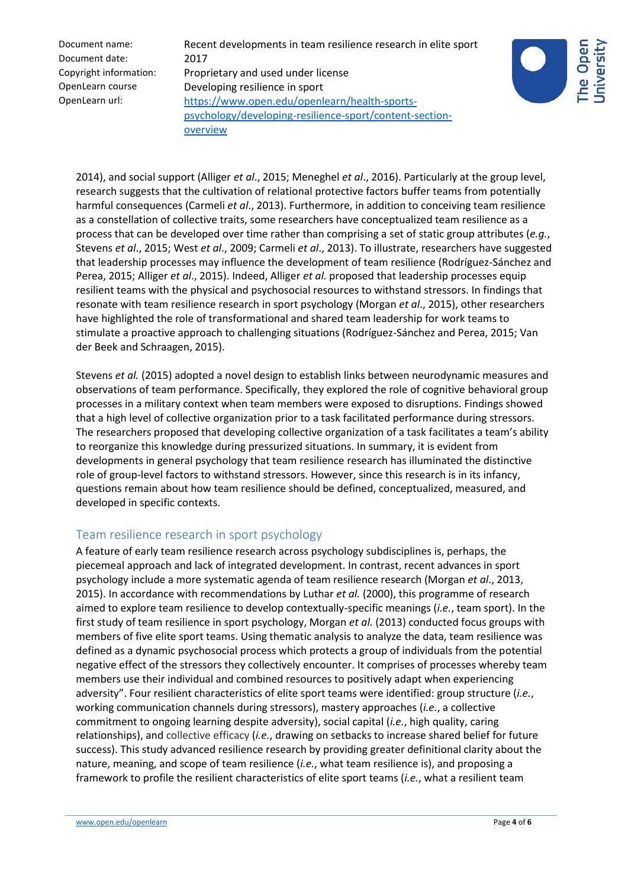Document name: Recent developments in team resilience research in elite sport Copyright information: Proprietary and used under license OpenLearn course Developing resilience in sport OpenLearn url: [https://www.open.edu/openlearn/health-sports](https://www.open.edu/openlearn/health-sports-psychology/developing-resilience-sport/content-section-overview)[psychology/developing-resilience-sport/content-section](https://www.open.edu/openlearn/health-sports-psychology/developing-resilience-sport/content-section-overview)**[overview](https://www.open.edu/openlearn/health-sports-psychology/developing-resilience-sport/content-section-overview)** 



2014), and social support (Alliger *et al*., 2015; Meneghel *et al*., 2016). Particularly at the group level, research suggests that the cultivation of relational protective factors buffer teams from potentially harmful consequences (Carmeli *et al*., 2013). Furthermore, in addition to conceiving team resilience as a constellation of collective traits, some researchers have conceptualized team resilience as a process that can be developed over time rather than comprising a set of static group attributes (*e.g.*, Stevens *et al*., 2015; West *et al*., 2009; Carmeli *et al*., 2013). To illustrate, researchers have suggested that leadership processes may influence the development of team resilience (Rodríguez-Sánchez and Perea, 2015; Alliger *et al*., 2015). Indeed, Alliger *et al.* proposed that leadership processes equip resilient teams with the physical and psychosocial resources to withstand stressors. In findings that resonate with team resilience research in sport psychology (Morgan *et al*., 2015), other researchers have highlighted the role of transformational and shared team leadership for work teams to stimulate a proactive approach to challenging situations (Rodríguez-Sánchez and Perea, 2015; Van der Beek and Schraagen, 2015).

Stevens *et al.* (2015) adopted a novel design to establish links between neurodynamic measures and observations of team performance. Specifically, they explored the role of cognitive behavioral group processes in a military context when team members were exposed to disruptions. Findings showed that a high level of collective organization prior to a task facilitated performance during stressors. The researchers proposed that developing collective organization of a task facilitates a team's ability to reorganize this knowledge during pressurized situations. In summary, it is evident from developments in general psychology that team resilience research has illuminated the distinctive role of group-level factors to withstand stressors. However, since this research is in its infancy, questions remain about how team resilience should be defined, conceptualized, measured, and developed in specific contexts.

### Team resilience research in sport psychology

A feature of early team resilience research across psychology subdisciplines is, perhaps, the piecemeal approach and lack of integrated development. In contrast, recent advances in sport psychology include a more systematic agenda of team resilience research (Morgan *et al*., 2013, 2015). In accordance with recommendations by Luthar *et al.* (2000), this programme of research aimed to explore team resilience to develop contextually-specific meanings (*i.e.*, team sport). In the first study of team resilience in sport psychology, Morgan *et al.* (2013) conducted focus groups with members of five elite sport teams. Using thematic analysis to analyze the data, team resilience was defined as a dynamic psychosocial process which protects a group of individuals from the potential negative effect of the stressors they collectively encounter. It comprises of processes whereby team members use their individual and combined resources to positively adapt when experiencing adversity". Four resilient characteristics of elite sport teams were identified: group structure (*i.e.*, working communication channels during stressors), mastery approaches (*i.e.*, a collective commitment to ongoing learning despite adversity), social capital (*i.e.*, high quality, caring relationships), and collective efficacy (*i.e.*, drawing on setbacks to increase shared belief for future success). This study advanced resilience research by providing greater definitional clarity about the nature, meaning, and scope of team resilience (*i.e.*, what team resilience is), and proposing a framework to profile the resilient characteristics of elite sport teams (*i.e.*, what a resilient team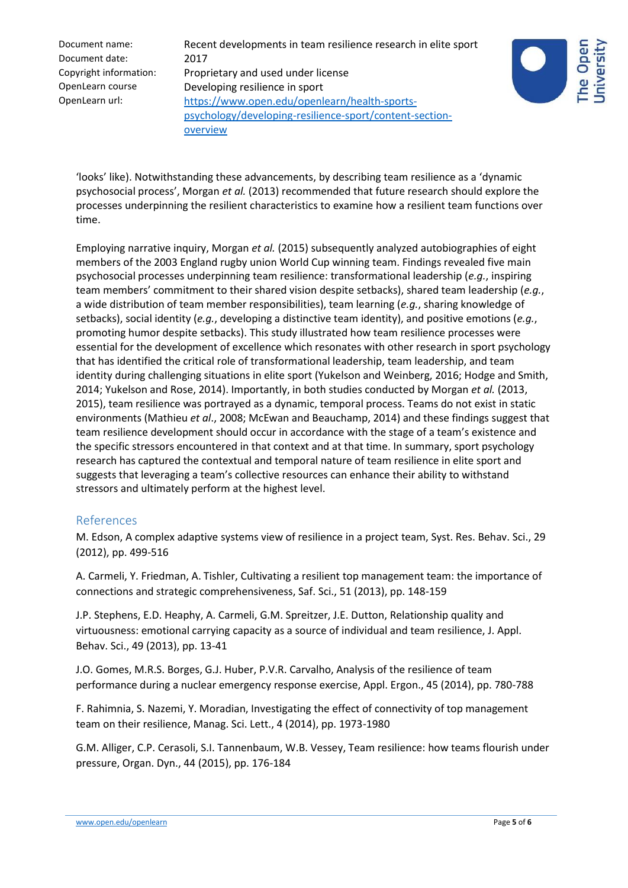Document name: Recent developments in team resilience research in elite sport Copyright information: Proprietary and used under license OpenLearn course Developing resilience in sport OpenLearn url: [https://www.open.edu/openlearn/health-sports](https://www.open.edu/openlearn/health-sports-psychology/developing-resilience-sport/content-section-overview)[psychology/developing-resilience-sport/content-section](https://www.open.edu/openlearn/health-sports-psychology/developing-resilience-sport/content-section-overview)**[overview](https://www.open.edu/openlearn/health-sports-psychology/developing-resilience-sport/content-section-overview)** 



'looks' like). Notwithstanding these advancements, by describing team resilience as a 'dynamic psychosocial process', Morgan *et al.* (2013) recommended that future research should explore the processes underpinning the resilient characteristics to examine how a resilient team functions over time.

Employing narrative inquiry, Morgan *et al.* (2015) subsequently analyzed autobiographies of eight members of the 2003 England rugby union World Cup winning team. Findings revealed five main psychosocial processes underpinning team resilience: transformational leadership (*e.g.*, inspiring team members' commitment to their shared vision despite setbacks), shared team leadership (*e.g.*, a wide distribution of team member responsibilities), team learning (*e.g.*, sharing knowledge of setbacks), social identity (*e.g.*, developing a distinctive team identity), and positive emotions (*e.g.*, promoting humor despite setbacks). This study illustrated how team resilience processes were essential for the development of excellence which resonates with other research in sport psychology that has identified the critical role of transformational leadership, team leadership, and team identity during challenging situations in elite sport (Yukelson and Weinberg, 2016; Hodge and Smith, 2014; Yukelson and Rose, 2014). Importantly, in both studies conducted by Morgan *et al.* (2013, 2015), team resilience was portrayed as a dynamic, temporal process. Teams do not exist in static environments (Mathieu *et al*., 2008; McEwan and Beauchamp, 2014) and these findings suggest that team resilience development should occur in accordance with the stage of a team's existence and the specific stressors encountered in that context and at that time. In summary, sport psychology research has captured the contextual and temporal nature of team resilience in elite sport and suggests that leveraging a team's collective resources can enhance their ability to withstand stressors and ultimately perform at the highest level.

#### References

M. Edson, A complex adaptive systems view of resilience in a project team, Syst. Res. Behav. Sci., 29 (2012), pp. 499-516

A. Carmeli, Y. Friedman, A. Tishler, Cultivating a resilient top management team: the importance of connections and strategic comprehensiveness, Saf. Sci., 51 (2013), pp. 148-159

J.P. Stephens, E.D. Heaphy, A. Carmeli, G.M. Spreitzer, J.E. Dutton, Relationship quality and virtuousness: emotional carrying capacity as a source of individual and team resilience, J. Appl. Behav. Sci., 49 (2013), pp. 13-41

J.O. Gomes, M.R.S. Borges, G.J. Huber, P.V.R. Carvalho, Analysis of the resilience of team performance during a nuclear emergency response exercise, Appl. Ergon., 45 (2014), pp. 780-788

F. Rahimnia, S. Nazemi, Y. Moradian, Investigating the effect of connectivity of top management team on their resilience, Manag. Sci. Lett., 4 (2014), pp. 1973-1980

G.M. Alliger, C.P. Cerasoli, S.I. Tannenbaum, W.B. Vessey, Team resilience: how teams flourish under pressure, Organ. Dyn., 44 (2015), pp. 176-184